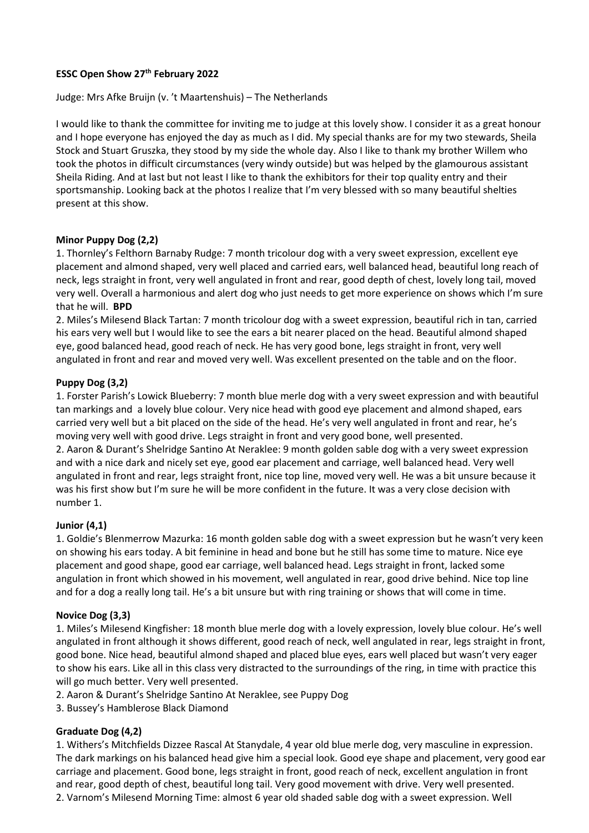# **ESSC Open Show 27th February 2022**

#### Judge: Mrs Afke Bruijn (v. 't Maartenshuis) – The Netherlands

I would like to thank the committee for inviting me to judge at this lovely show. I consider it as a great honour and I hope everyone has enjoyed the day as much as I did. My special thanks are for my two stewards, Sheila Stock and Stuart Gruszka, they stood by my side the whole day. Also I like to thank my brother Willem who took the photos in difficult circumstances (very windy outside) but was helped by the glamourous assistant Sheila Riding. And at last but not least I like to thank the exhibitors for their top quality entry and their sportsmanship. Looking back at the photos I realize that I'm very blessed with so many beautiful shelties present at this show.

#### **Minor Puppy Dog (2,2)**

1. Thornley's Felthorn Barnaby Rudge: 7 month tricolour dog with a very sweet expression, excellent eye placement and almond shaped, very well placed and carried ears, well balanced head, beautiful long reach of neck, legs straight in front, very well angulated in front and rear, good depth of chest, lovely long tail, moved very well. Overall a harmonious and alert dog who just needs to get more experience on shows which I'm sure that he will. **BPD**

2. Miles's Milesend Black Tartan: 7 month tricolour dog with a sweet expression, beautiful rich in tan, carried his ears very well but I would like to see the ears a bit nearer placed on the head. Beautiful almond shaped eye, good balanced head, good reach of neck. He has very good bone, legs straight in front, very well angulated in front and rear and moved very well. Was excellent presented on the table and on the floor.

#### **Puppy Dog (3,2)**

1. Forster Parish's Lowick Blueberry: 7 month blue merle dog with a very sweet expression and with beautiful tan markings and a lovely blue colour. Very nice head with good eye placement and almond shaped, ears carried very well but a bit placed on the side of the head. He's very well angulated in front and rear, he's moving very well with good drive. Legs straight in front and very good bone, well presented. 2. Aaron & Durant's Shelridge Santino At Neraklee: 9 month golden sable dog with a very sweet expression and with a nice dark and nicely set eye, good ear placement and carriage, well balanced head. Very well angulated in front and rear, legs straight front, nice top line, moved very well. He was a bit unsure because it was his first show but I'm sure he will be more confident in the future. It was a very close decision with number 1.

#### **Junior (4,1)**

1. Goldie's Blenmerrow Mazurka: 16 month golden sable dog with a sweet expression but he wasn't very keen on showing his ears today. A bit feminine in head and bone but he still has some time to mature. Nice eye placement and good shape, good ear carriage, well balanced head. Legs straight in front, lacked some angulation in front which showed in his movement, well angulated in rear, good drive behind. Nice top line and for a dog a really long tail. He's a bit unsure but with ring training or shows that will come in time.

#### **Novice Dog (3,3)**

1. Miles's Milesend Kingfisher: 18 month blue merle dog with a lovely expression, lovely blue colour. He's well angulated in front although it shows different, good reach of neck, well angulated in rear, legs straight in front, good bone. Nice head, beautiful almond shaped and placed blue eyes, ears well placed but wasn't very eager to show his ears. Like all in this class very distracted to the surroundings of the ring, in time with practice this will go much better. Very well presented.

- 2. Aaron & Durant's Shelridge Santino At Neraklee, see Puppy Dog
- 3. Bussey's Hamblerose Black Diamond

## **Graduate Dog (4,2)**

1. Withers's Mitchfields Dizzee Rascal At Stanydale, 4 year old blue merle dog, very masculine in expression. The dark markings on his balanced head give him a special look. Good eye shape and placement, very good ear carriage and placement. Good bone, legs straight in front, good reach of neck, excellent angulation in front and rear, good depth of chest, beautiful long tail. Very good movement with drive. Very well presented. 2. Varnom's Milesend Morning Time: almost 6 year old shaded sable dog with a sweet expression. Well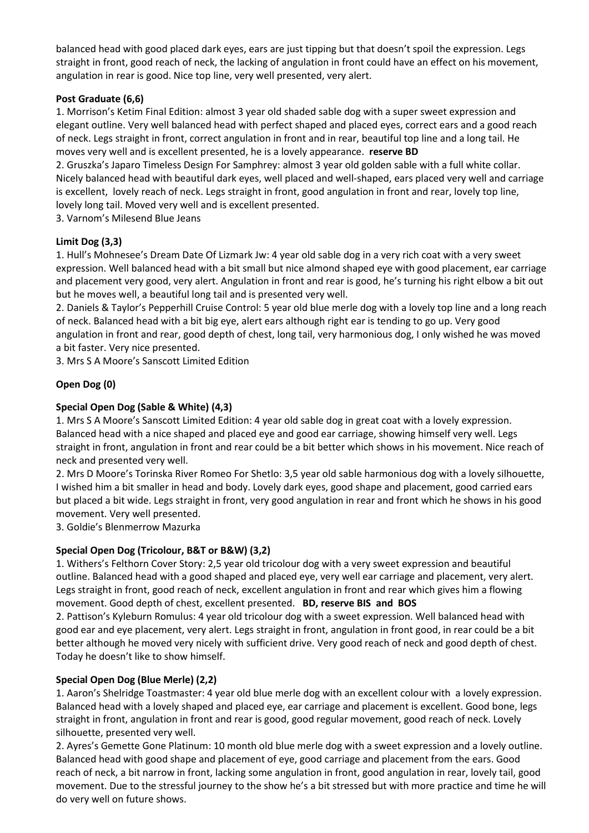balanced head with good placed dark eyes, ears are just tipping but that doesn't spoil the expression. Legs straight in front, good reach of neck, the lacking of angulation in front could have an effect on his movement, angulation in rear is good. Nice top line, very well presented, very alert.

## **Post Graduate (6,6)**

1. Morrison's Ketim Final Edition: almost 3 year old shaded sable dog with a super sweet expression and elegant outline. Very well balanced head with perfect shaped and placed eyes, correct ears and a good reach of neck. Legs straight in front, correct angulation in front and in rear, beautiful top line and a long tail. He moves very well and is excellent presented, he is a lovely appearance. **reserve BD**

2. Gruszka's Japaro Timeless Design For Samphrey: almost 3 year old golden sable with a full white collar. Nicely balanced head with beautiful dark eyes, well placed and well-shaped, ears placed very well and carriage is excellent, lovely reach of neck. Legs straight in front, good angulation in front and rear, lovely top line, lovely long tail. Moved very well and is excellent presented.

3. Varnom's Milesend Blue Jeans

# **Limit Dog (3,3)**

1. Hull's Mohnesee's Dream Date Of Lizmark Jw: 4 year old sable dog in a very rich coat with a very sweet expression. Well balanced head with a bit small but nice almond shaped eye with good placement, ear carriage and placement very good, very alert. Angulation in front and rear is good, he's turning his right elbow a bit out but he moves well, a beautiful long tail and is presented very well.

2. Daniels & Taylor's Pepperhill Cruise Control: 5 year old blue merle dog with a lovely top line and a long reach of neck. Balanced head with a bit big eye, alert ears although right ear is tending to go up. Very good angulation in front and rear, good depth of chest, long tail, very harmonious dog, I only wished he was moved a bit faster. Very nice presented.

3. Mrs S A Moore's Sanscott Limited Edition

# **Open Dog (0)**

## **Special Open Dog (Sable & White) (4,3)**

1. Mrs S A Moore's Sanscott Limited Edition: 4 year old sable dog in great coat with a lovely expression. Balanced head with a nice shaped and placed eye and good ear carriage, showing himself very well. Legs straight in front, angulation in front and rear could be a bit better which shows in his movement. Nice reach of neck and presented very well.

2. Mrs D Moore's Torinska River Romeo For Shetlo: 3,5 year old sable harmonious dog with a lovely silhouette, I wished him a bit smaller in head and body. Lovely dark eyes, good shape and placement, good carried ears but placed a bit wide. Legs straight in front, very good angulation in rear and front which he shows in his good movement. Very well presented.

3. Goldie's Blenmerrow Mazurka

# **Special Open Dog (Tricolour, B&T or B&W) (3,2)**

1. Withers's Felthorn Cover Story: 2,5 year old tricolour dog with a very sweet expression and beautiful outline. Balanced head with a good shaped and placed eye, very well ear carriage and placement, very alert. Legs straight in front, good reach of neck, excellent angulation in front and rear which gives him a flowing movement. Good depth of chest, excellent presented. **BD, reserve BIS and BOS**

2. Pattison's Kyleburn Romulus: 4 year old tricolour dog with a sweet expression. Well balanced head with good ear and eye placement, very alert. Legs straight in front, angulation in front good, in rear could be a bit better although he moved very nicely with sufficient drive. Very good reach of neck and good depth of chest. Today he doesn't like to show himself.

# **Special Open Dog (Blue Merle) (2,2)**

1. Aaron's Shelridge Toastmaster: 4 year old blue merle dog with an excellent colour with a lovely expression. Balanced head with a lovely shaped and placed eye, ear carriage and placement is excellent. Good bone, legs straight in front, angulation in front and rear is good, good regular movement, good reach of neck. Lovely silhouette, presented very well.

2. Ayres's Gemette Gone Platinum: 10 month old blue merle dog with a sweet expression and a lovely outline. Balanced head with good shape and placement of eye, good carriage and placement from the ears. Good reach of neck, a bit narrow in front, lacking some angulation in front, good angulation in rear, lovely tail, good movement. Due to the stressful journey to the show he's a bit stressed but with more practice and time he will do very well on future shows.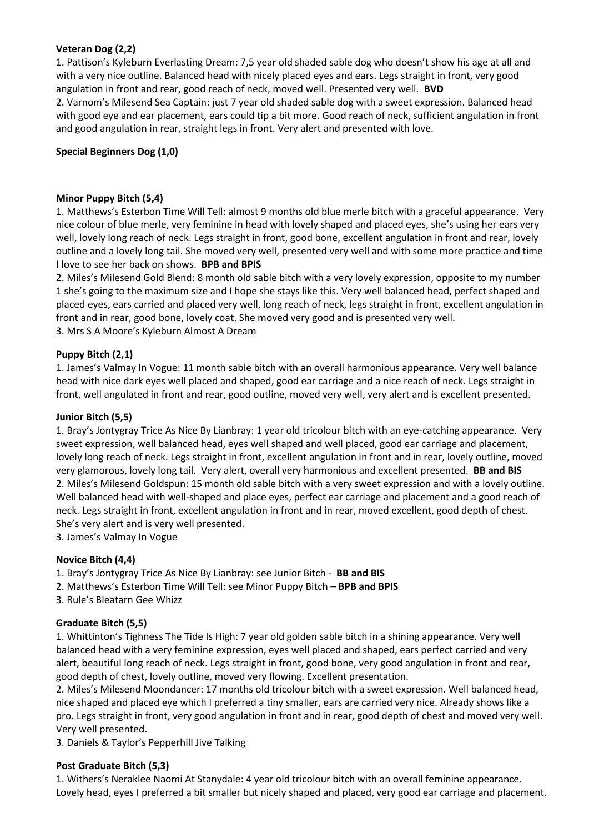## **Veteran Dog (2,2)**

1. Pattison's Kyleburn Everlasting Dream: 7,5 year old shaded sable dog who doesn't show his age at all and with a very nice outline. Balanced head with nicely placed eyes and ears. Legs straight in front, very good angulation in front and rear, good reach of neck, moved well. Presented very well. **BVD** 2. Varnom's Milesend Sea Captain: just 7 year old shaded sable dog with a sweet expression. Balanced head with good eye and ear placement, ears could tip a bit more. Good reach of neck, sufficient angulation in front and good angulation in rear, straight legs in front. Very alert and presented with love.

## **Special Beginners Dog (1,0)**

#### **Minor Puppy Bitch (5,4)**

1. Matthews's Esterbon Time Will Tell: almost 9 months old blue merle bitch with a graceful appearance. Very nice colour of blue merle, very feminine in head with lovely shaped and placed eyes, she's using her ears very well, lovely long reach of neck. Legs straight in front, good bone, excellent angulation in front and rear, lovely outline and a lovely long tail. She moved very well, presented very well and with some more practice and time I love to see her back on shows. **BPB and BPIS**

2. Miles's Milesend Gold Blend: 8 month old sable bitch with a very lovely expression, opposite to my number 1 she's going to the maximum size and I hope she stays like this. Very well balanced head, perfect shaped and placed eyes, ears carried and placed very well, long reach of neck, legs straight in front, excellent angulation in front and in rear, good bone, lovely coat. She moved very good and is presented very well. 3. Mrs S A Moore's Kyleburn Almost A Dream

#### **Puppy Bitch (2,1)**

1. James's Valmay In Vogue: 11 month sable bitch with an overall harmonious appearance. Very well balance head with nice dark eyes well placed and shaped, good ear carriage and a nice reach of neck. Legs straight in front, well angulated in front and rear, good outline, moved very well, very alert and is excellent presented.

#### **Junior Bitch (5,5)**

1. Bray's Jontygray Trice As Nice By Lianbray: 1 year old tricolour bitch with an eye-catching appearance. Very sweet expression, well balanced head, eyes well shaped and well placed, good ear carriage and placement, lovely long reach of neck. Legs straight in front, excellent angulation in front and in rear, lovely outline, moved very glamorous, lovely long tail. Very alert, overall very harmonious and excellent presented. **BB and BIS** 2. Miles's Milesend Goldspun: 15 month old sable bitch with a very sweet expression and with a lovely outline. Well balanced head with well-shaped and place eyes, perfect ear carriage and placement and a good reach of neck. Legs straight in front, excellent angulation in front and in rear, moved excellent, good depth of chest. She's very alert and is very well presented.

3. James's Valmay In Vogue

#### **Novice Bitch (4,4)**

- 1. Bray's Jontygray Trice As Nice By Lianbray: see Junior Bitch **BB and BIS**
- 2. Matthews's Esterbon Time Will Tell: see Minor Puppy Bitch **BPB and BPIS**
- 3. Rule's Bleatarn Gee Whizz

## **Graduate Bitch (5,5)**

1. Whittinton's Tighness The Tide Is High: 7 year old golden sable bitch in a shining appearance. Very well balanced head with a very feminine expression, eyes well placed and shaped, ears perfect carried and very alert, beautiful long reach of neck. Legs straight in front, good bone, very good angulation in front and rear, good depth of chest, lovely outline, moved very flowing. Excellent presentation.

2. Miles's Milesend Moondancer: 17 months old tricolour bitch with a sweet expression. Well balanced head, nice shaped and placed eye which I preferred a tiny smaller, ears are carried very nice. Already shows like a pro. Legs straight in front, very good angulation in front and in rear, good depth of chest and moved very well. Very well presented.

3. Daniels & Taylor's Pepperhill Jive Talking

#### **Post Graduate Bitch (5,3)**

1. Withers's Neraklee Naomi At Stanydale: 4 year old tricolour bitch with an overall feminine appearance. Lovely head, eyes I preferred a bit smaller but nicely shaped and placed, very good ear carriage and placement.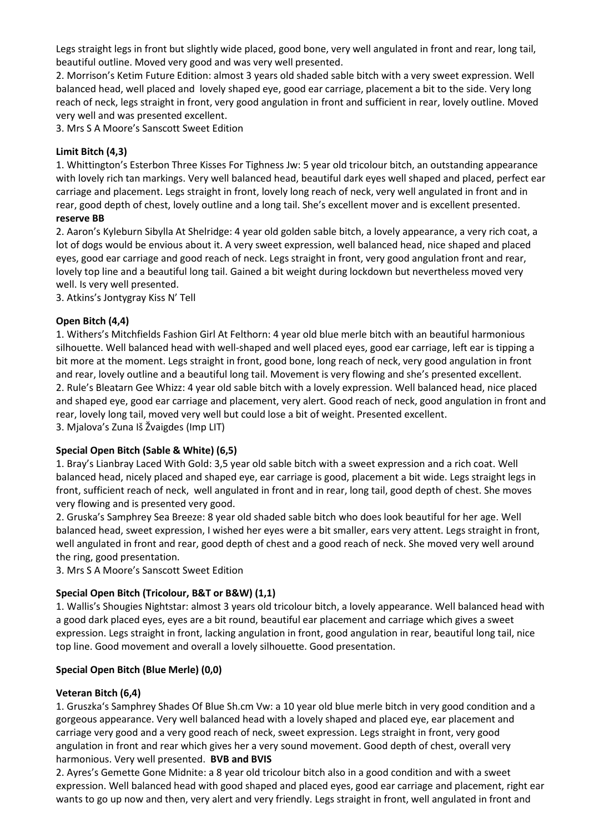Legs straight legs in front but slightly wide placed, good bone, very well angulated in front and rear, long tail, beautiful outline. Moved very good and was very well presented.

2. Morrison's Ketim Future Edition: almost 3 years old shaded sable bitch with a very sweet expression. Well balanced head, well placed and lovely shaped eye, good ear carriage, placement a bit to the side. Very long reach of neck, legs straight in front, very good angulation in front and sufficient in rear, lovely outline. Moved very well and was presented excellent.

3. Mrs S A Moore's Sanscott Sweet Edition

## **Limit Bitch (4,3)**

1. Whittington's Esterbon Three Kisses For Tighness Jw: 5 year old tricolour bitch, an outstanding appearance with lovely rich tan markings. Very well balanced head, beautiful dark eyes well shaped and placed, perfect ear carriage and placement. Legs straight in front, lovely long reach of neck, very well angulated in front and in rear, good depth of chest, lovely outline and a long tail. She's excellent mover and is excellent presented.

## **reserve BB**

2. Aaron's Kyleburn Sibylla At Shelridge: 4 year old golden sable bitch, a lovely appearance, a very rich coat, a lot of dogs would be envious about it. A very sweet expression, well balanced head, nice shaped and placed eyes, good ear carriage and good reach of neck. Legs straight in front, very good angulation front and rear, lovely top line and a beautiful long tail. Gained a bit weight during lockdown but nevertheless moved very well. Is very well presented.

3. Atkins's Jontygray Kiss N' Tell

## **Open Bitch (4,4)**

1. Withers's Mitchfields Fashion Girl At Felthorn: 4 year old blue merle bitch with an beautiful harmonious silhouette. Well balanced head with well-shaped and well placed eyes, good ear carriage, left ear is tipping a bit more at the moment. Legs straight in front, good bone, long reach of neck, very good angulation in front and rear, lovely outline and a beautiful long tail. Movement is very flowing and she's presented excellent. 2. Rule's Bleatarn Gee Whizz: 4 year old sable bitch with a lovely expression. Well balanced head, nice placed and shaped eye, good ear carriage and placement, very alert. Good reach of neck, good angulation in front and rear, lovely long tail, moved very well but could lose a bit of weight. Presented excellent. 3. Mjalova's Zuna Iš Žvaigdes (Imp LIT)

## **Special Open Bitch (Sable & White) (6,5)**

1. Bray's Lianbray Laced With Gold: 3,5 year old sable bitch with a sweet expression and a rich coat. Well balanced head, nicely placed and shaped eye, ear carriage is good, placement a bit wide. Legs straight legs in front, sufficient reach of neck, well angulated in front and in rear, long tail, good depth of chest. She moves very flowing and is presented very good.

2. Gruska's Samphrey Sea Breeze: 8 year old shaded sable bitch who does look beautiful for her age. Well balanced head, sweet expression, I wished her eyes were a bit smaller, ears very attent. Legs straight in front, well angulated in front and rear, good depth of chest and a good reach of neck. She moved very well around the ring, good presentation.

3. Mrs S A Moore's Sanscott Sweet Edition

## **Special Open Bitch (Tricolour, B&T or B&W) (1,1)**

1. Wallis's Shougies Nightstar: almost 3 years old tricolour bitch, a lovely appearance. Well balanced head with a good dark placed eyes, eyes are a bit round, beautiful ear placement and carriage which gives a sweet expression. Legs straight in front, lacking angulation in front, good angulation in rear, beautiful long tail, nice top line. Good movement and overall a lovely silhouette. Good presentation.

## **Special Open Bitch (Blue Merle) (0,0)**

## **Veteran Bitch (6,4)**

1. Gruszka's Samphrey Shades Of Blue Sh.cm Vw: a 10 year old blue merle bitch in very good condition and a gorgeous appearance. Very well balanced head with a lovely shaped and placed eye, ear placement and carriage very good and a very good reach of neck, sweet expression. Legs straight in front, very good angulation in front and rear which gives her a very sound movement. Good depth of chest, overall very harmonious. Very well presented. **BVB and BVIS**

2. Ayres's Gemette Gone Midnite: a 8 year old tricolour bitch also in a good condition and with a sweet expression. Well balanced head with good shaped and placed eyes, good ear carriage and placement, right ear wants to go up now and then, very alert and very friendly. Legs straight in front, well angulated in front and